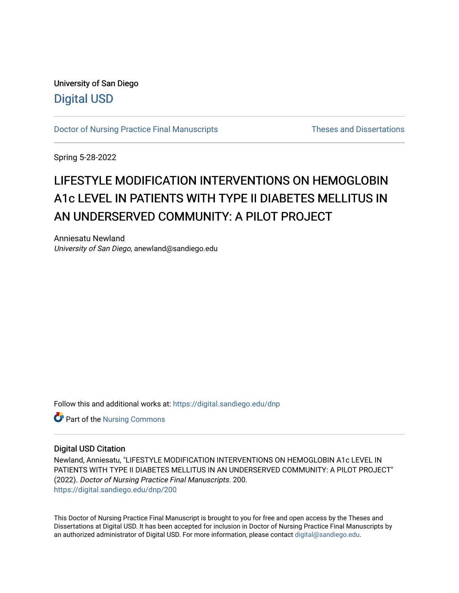University of San Diego [Digital USD](https://digital.sandiego.edu/)

[Doctor of Nursing Practice Final Manuscripts](https://digital.sandiego.edu/dnp) Theses and Dissertations

Spring 5-28-2022

# LIFESTYLE MODIFICATION INTERVENTIONS ON HEMOGLOBIN A1c LEVEL IN PATIENTS WITH TYPE II DIABETES MELLITUS IN AN UNDERSERVED COMMUNITY: A PILOT PROJECT

Anniesatu Newland University of San Diego, anewland@sandiego.edu

Follow this and additional works at: [https://digital.sandiego.edu/dnp](https://digital.sandiego.edu/dnp?utm_source=digital.sandiego.edu%2Fdnp%2F200&utm_medium=PDF&utm_campaign=PDFCoverPages) 

Part of the [Nursing Commons](http://network.bepress.com/hgg/discipline/718?utm_source=digital.sandiego.edu%2Fdnp%2F200&utm_medium=PDF&utm_campaign=PDFCoverPages) 

#### Digital USD Citation

Newland, Anniesatu, "LIFESTYLE MODIFICATION INTERVENTIONS ON HEMOGLOBIN A1c LEVEL IN PATIENTS WITH TYPE II DIABETES MELLITUS IN AN UNDERSERVED COMMUNITY: A PILOT PROJECT" (2022). Doctor of Nursing Practice Final Manuscripts. 200. [https://digital.sandiego.edu/dnp/200](https://digital.sandiego.edu/dnp/200?utm_source=digital.sandiego.edu%2Fdnp%2F200&utm_medium=PDF&utm_campaign=PDFCoverPages) 

This Doctor of Nursing Practice Final Manuscript is brought to you for free and open access by the Theses and Dissertations at Digital USD. It has been accepted for inclusion in Doctor of Nursing Practice Final Manuscripts by an authorized administrator of Digital USD. For more information, please contact [digital@sandiego.edu](mailto:digital@sandiego.edu).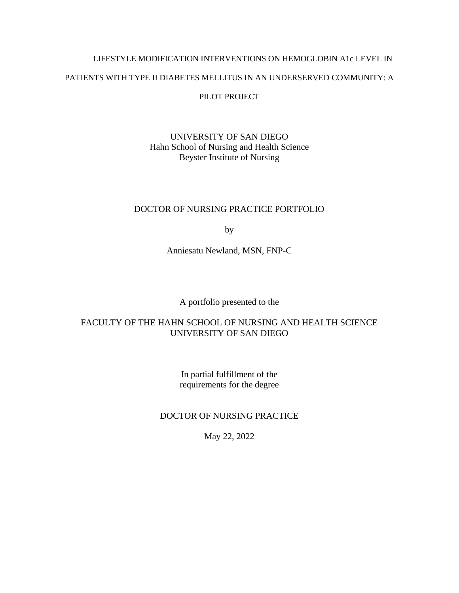# LIFESTYLE MODIFICATION INTERVENTIONS ON HEMOGLOBIN A1c LEVEL IN PATIENTS WITH TYPE II DIABETES MELLITUS IN AN UNDERSERVED COMMUNITY: A PILOT PROJECT

## UNIVERSITY OF SAN DIEGO Hahn School of Nursing and Health Science Beyster Institute of Nursing

## DOCTOR OF NURSING PRACTICE PORTFOLIO

by

Anniesatu Newland, MSN, FNP-C

## A portfolio presented to the

## FACULTY OF THE HAHN SCHOOL OF NURSING AND HEALTH SCIENCE UNIVERSITY OF SAN DIEGO

In partial fulfillment of the requirements for the degree

## DOCTOR OF NURSING PRACTICE

May 22, 2022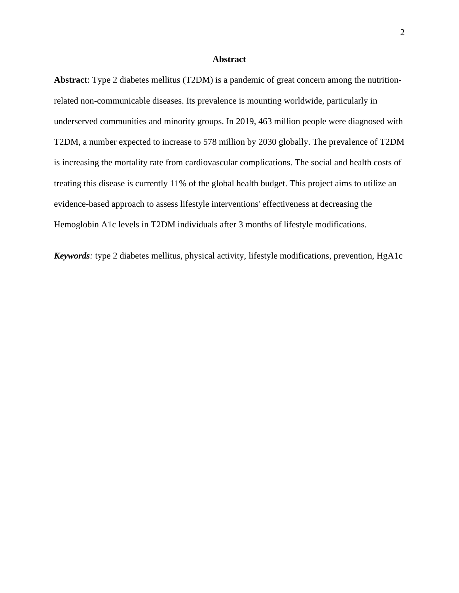#### **Abstract**

**Abstract**: Type 2 diabetes mellitus (T2DM) is a pandemic of great concern among the nutritionrelated non-communicable diseases. Its prevalence is mounting worldwide, particularly in underserved communities and minority groups. In 2019, 463 million people were diagnosed with T2DM, a number expected to increase to 578 million by 2030 globally. The prevalence of T2DM is increasing the mortality rate from cardiovascular complications. The social and health costs of treating this disease is currently 11% of the global health budget. This project aims to utilize an evidence-based approach to assess lifestyle interventions' effectiveness at decreasing the Hemoglobin A1c levels in T2DM individuals after 3 months of lifestyle modifications.

*Keywords:* type 2 diabetes mellitus, physical activity, lifestyle modifications, prevention, HgA1c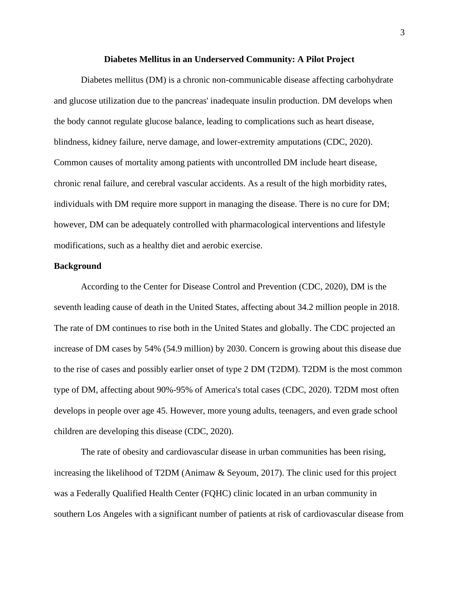#### **Diabetes Mellitus in an Underserved Community: A Pilot Project**

Diabetes mellitus (DM) is a chronic non-communicable disease affecting carbohydrate and glucose utilization due to the pancreas' inadequate insulin production. DM develops when the body cannot regulate glucose balance, leading to complications such as heart disease, blindness, kidney failure, nerve damage, and lower-extremity amputations (CDC, 2020). Common causes of mortality among patients with uncontrolled DM include heart disease, chronic renal failure, and cerebral vascular accidents. As a result of the high morbidity rates, individuals with DM require more support in managing the disease. There is no cure for DM; however, DM can be adequately controlled with pharmacological interventions and lifestyle modifications, such as a healthy diet and aerobic exercise.

#### **Background**

According to the Center for Disease Control and Prevention (CDC, 2020), DM is the seventh leading cause of death in the United States, affecting about 34.2 million people in 2018. The rate of DM continues to rise both in the United States and globally. The CDC projected an increase of DM cases by 54% (54.9 million) by 2030. Concern is growing about this disease due to the rise of cases and possibly earlier onset of type 2 DM (T2DM). T2DM is the most common type of DM, affecting about 90%-95% of America's total cases (CDC, 2020). T2DM most often develops in people over age 45. However, more young adults, teenagers, and even grade school children are developing this disease (CDC, 2020).

The rate of obesity and cardiovascular disease in urban communities has been rising, increasing the likelihood of T2DM (Animaw & Seyoum, 2017). The clinic used for this project was a Federally Qualified Health Center (FQHC) clinic located in an urban community in southern Los Angeles with a significant number of patients at risk of cardiovascular disease from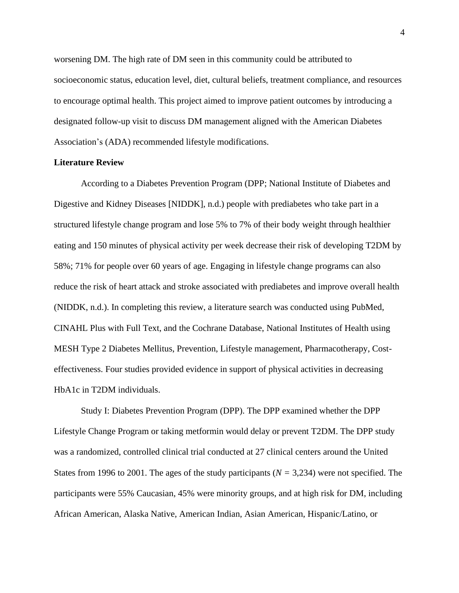worsening DM. The high rate of DM seen in this community could be attributed to socioeconomic status, education level, diet, cultural beliefs, treatment compliance, and resources to encourage optimal health. This project aimed to improve patient outcomes by introducing a designated follow-up visit to discuss DM management aligned with the American Diabetes Association's (ADA) recommended lifestyle modifications.

#### **Literature Review**

According to a Diabetes Prevention Program (DPP; National Institute of Diabetes and Digestive and Kidney Diseases [NIDDK], n.d.) people with prediabetes who take part in a structured lifestyle change program and lose 5% to 7% of their body weight through healthier eating and 150 minutes of physical activity per week decrease their risk of developing T2DM by 58%; 71% for people over 60 years of age. Engaging in lifestyle change programs can also reduce the risk of heart attack and stroke associated with prediabetes and improve overall health (NIDDK, n.d.). In completing this review, a literature search was conducted using PubMed, CINAHL Plus with Full Text, and the Cochrane Database, National Institutes of Health using MESH Type 2 Diabetes Mellitus, Prevention, Lifestyle management, Pharmacotherapy, Costeffectiveness. Four studies provided evidence in support of physical activities in decreasing HbA1c in T2DM individuals.

Study I: Diabetes Prevention Program (DPP). The DPP examined whether the DPP Lifestyle Change Program or taking metformin would delay or prevent T2DM. The DPP study was a randomized, controlled clinical trial conducted at 27 clinical centers around the United States from 1996 to 2001. The ages of the study participants (*N =* 3,234) were not specified. The participants were 55% Caucasian, 45% were minority groups, and at high risk for DM, including African American, Alaska Native, American Indian, Asian American, Hispanic/Latino, or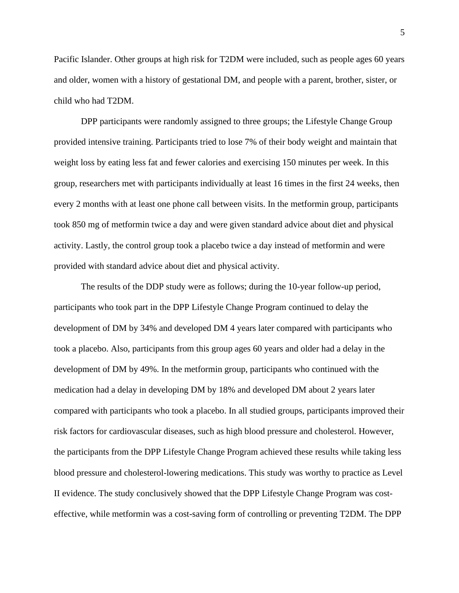Pacific Islander. Other groups at high risk for T2DM were included, such as people ages 60 years and older, women with a history of gestational DM, and people with a parent, brother, sister, or child who had T2DM.

DPP participants were randomly assigned to three groups; the Lifestyle Change Group provided intensive training. Participants tried to lose 7% of their body weight and maintain that weight loss by eating less fat and fewer calories and exercising 150 minutes per week. In this group, researchers met with participants individually at least 16 times in the first 24 weeks, then every 2 months with at least one phone call between visits. In the metformin group, participants took 850 mg of metformin twice a day and were given standard advice about diet and physical activity. Lastly, the control group took a placebo twice a day instead of metformin and were provided with standard advice about diet and physical activity.

The results of the DDP study were as follows; during the 10-year follow-up period, participants who took part in the DPP Lifestyle Change Program continued to delay the development of DM by 34% and developed DM 4 years later compared with participants who took a placebo. Also, participants from this group ages 60 years and older had a delay in the development of DM by 49%. In the metformin group, participants who continued with the medication had a delay in developing DM by 18% and developed DM about 2 years later compared with participants who took a placebo. In all studied groups, participants improved their risk factors for cardiovascular diseases, such as high blood pressure and cholesterol. However, the participants from the DPP Lifestyle Change Program achieved these results while taking less blood pressure and cholesterol-lowering medications. This study was worthy to practice as Level II evidence. The study conclusively showed that the DPP Lifestyle Change Program was costeffective, while metformin was a cost-saving form of controlling or preventing T2DM. The DPP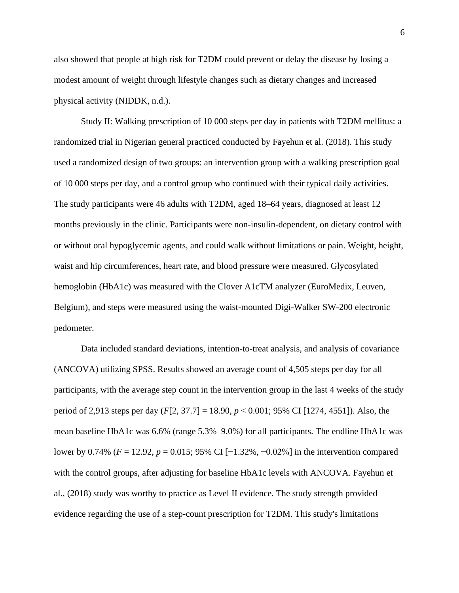also showed that people at high risk for T2DM could prevent or delay the disease by losing a modest amount of weight through lifestyle changes such as dietary changes and increased physical activity (NIDDK, n.d.).

Study II: Walking prescription of 10 000 steps per day in patients with T2DM mellitus: a randomized trial in Nigerian general practiced conducted by Fayehun et al. (2018). This study used a randomized design of two groups: an intervention group with a walking prescription goal of 10 000 steps per day, and a control group who continued with their typical daily activities. The study participants were 46 adults with T2DM, aged 18–64 years, diagnosed at least 12 months previously in the clinic. Participants were non-insulin-dependent, on dietary control with or without oral hypoglycemic agents, and could walk without limitations or pain. Weight, height, waist and hip circumferences, heart rate, and blood pressure were measured. Glycosylated hemoglobin (HbA1c) was measured with the Clover A1cTM analyzer (EuroMedix, Leuven, Belgium), and steps were measured using the waist-mounted Digi-Walker SW-200 electronic pedometer.

Data included standard deviations, intention-to-treat analysis, and analysis of covariance (ANCOVA) utilizing SPSS. Results showed an average count of 4,505 steps per day for all participants, with the average step count in the intervention group in the last 4 weeks of the study period of 2,913 steps per day (*F*[2, 37.7] = 18.90, *p* < 0.001; 95% CI [1274, 4551]). Also, the mean baseline HbA1c was 6.6% (range 5.3%–9.0%) for all participants. The endline HbA1c was lower by 0.74% (*F* = 12.92, *p* = 0.015; 95% CI [−1.32%, −0.02%] in the intervention compared with the control groups, after adjusting for baseline HbA1c levels with ANCOVA. Fayehun et al., (2018) study was worthy to practice as Level II evidence. The study strength provided evidence regarding the use of a step-count prescription for T2DM. This study's limitations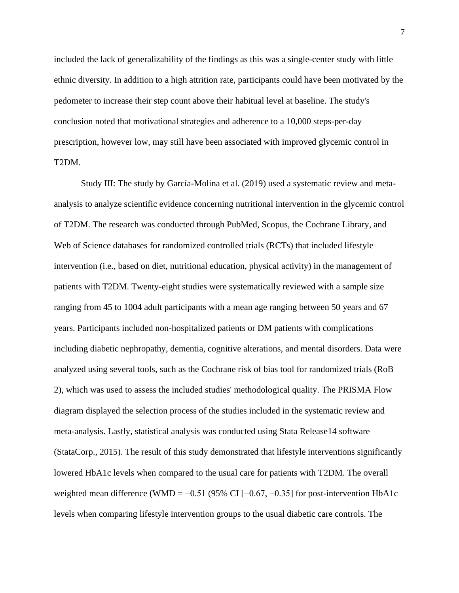included the lack of generalizability of the findings as this was a single-center study with little ethnic diversity. In addition to a high attrition rate, participants could have been motivated by the pedometer to increase their step count above their habitual level at baseline. The study's conclusion noted that motivational strategies and adherence to a 10,000 steps-per-day prescription, however low, may still have been associated with improved glycemic control in T2DM.

Study III: The study by García-Molina et al. (2019) used a systematic review and metaanalysis to analyze scientific evidence concerning nutritional intervention in the glycemic control of T2DM. The research was conducted through PubMed, Scopus, the Cochrane Library, and Web of Science databases for randomized controlled trials (RCTs) that included lifestyle intervention (i.e., based on diet, nutritional education, physical activity) in the management of patients with T2DM. Twenty-eight studies were systematically reviewed with a sample size ranging from 45 to 1004 adult participants with a mean age ranging between 50 years and 67 years. Participants included non-hospitalized patients or DM patients with complications including diabetic nephropathy, dementia, cognitive alterations, and mental disorders. Data were analyzed using several tools, such as the Cochrane risk of bias tool for randomized trials (RoB 2), which was used to assess the included studies' methodological quality. The PRISMA Flow diagram displayed the selection process of the studies included in the systematic review and meta-analysis. Lastly, statistical analysis was conducted using Stata Release14 software (StataCorp., 2015). The result of this study demonstrated that lifestyle interventions significantly lowered HbA1c levels when compared to the usual care for patients with T2DM. The overall weighted mean difference (WMD =  $-0.51$  (95% CI [ $-0.67, -0.35$ ] for post-intervention HbA1c levels when comparing lifestyle intervention groups to the usual diabetic care controls. The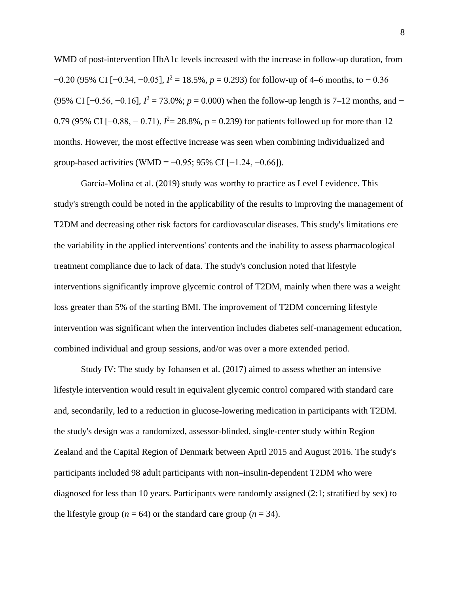WMD of post-intervention HbA1c levels increased with the increase in follow-up duration, from −0.20 (95% CI [−0.34, −0.05], *I* <sup>2</sup> = 18.5%, *p* = 0.293) for follow-up of 4–6 months, to − 0.36 (95% CI [ $-0.56$ ,  $-0.16$ ],  $I^2 = 73.0$ %;  $p = 0.000$ ) when the follow-up length is 7–12 months, and − 0.79 (95% CI [ $-0.88, -0.71$ ),  $I^2 = 28.8$ %, p = 0.239) for patients followed up for more than 12 months. However, the most effective increase was seen when combining individualized and group-based activities (WMD =  $-0.95$ ; 95% CI [ $-1.24, -0.66$ ]).

García-Molina et al. (2019) study was worthy to practice as Level I evidence. This study's strength could be noted in the applicability of the results to improving the management of T2DM and decreasing other risk factors for cardiovascular diseases. This study's limitations ere the variability in the applied interventions' contents and the inability to assess pharmacological treatment compliance due to lack of data. The study's conclusion noted that lifestyle interventions significantly improve glycemic control of T2DM, mainly when there was a weight loss greater than 5% of the starting BMI. The improvement of T2DM concerning lifestyle intervention was significant when the intervention includes diabetes self-management education, combined individual and group sessions, and/or was over a more extended period.

Study IV: The study by Johansen et al. (2017) aimed to assess whether an intensive lifestyle intervention would result in equivalent glycemic control compared with standard care and, secondarily, led to a reduction in glucose-lowering medication in participants with T2DM. the study's design was a randomized, assessor-blinded, single-center study within Region Zealand and the Capital Region of Denmark between April 2015 and August 2016. The study's participants included 98 adult participants with non–insulin-dependent T2DM who were diagnosed for less than 10 years. Participants were randomly assigned (2:1; stratified by sex) to the lifestyle group ( $n = 64$ ) or the standard care group ( $n = 34$ ).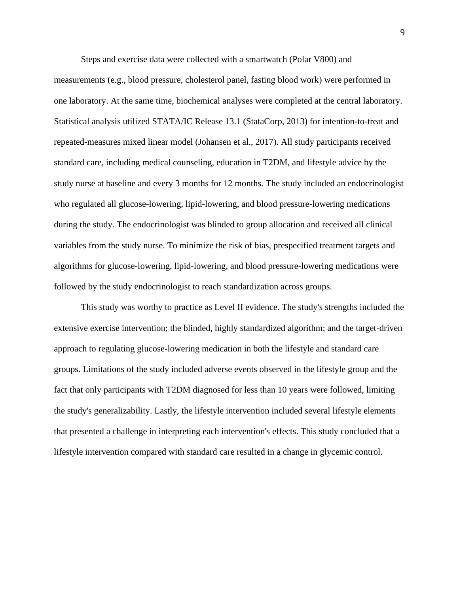Steps and exercise data were collected with a smartwatch (Polar V800) and

measurements (e.g., blood pressure, cholesterol panel, fasting blood work) were performed in one laboratory. At the same time, biochemical analyses were completed at the central laboratory. Statistical analysis utilized STATA/IC Release 13.1 (StataCorp, 2013) for intention-to-treat and repeated-measures mixed linear model (Johansen et al., 2017). All study participants received standard care, including medical counseling, education in T2DM, and lifestyle advice by the study nurse at baseline and every 3 months for 12 months. The study included an endocrinologist who regulated all glucose-lowering, lipid-lowering, and blood pressure-lowering medications during the study. The endocrinologist was blinded to group allocation and received all clinical variables from the study nurse. To minimize the risk of bias, prespecified treatment targets and algorithms for glucose-lowering, lipid-lowering, and blood pressure-lowering medications were followed by the study endocrinologist to reach standardization across groups.

This study was worthy to practice as Level II evidence. The study's strengths included the extensive exercise intervention; the blinded, highly standardized algorithm; and the target-driven approach to regulating glucose-lowering medication in both the lifestyle and standard care groups. Limitations of the study included adverse events observed in the lifestyle group and the fact that only participants with T2DM diagnosed for less than 10 years were followed, limiting the study's generalizability. Lastly, the lifestyle intervention included several lifestyle elements that presented a challenge in interpreting each intervention's effects. This study concluded that a lifestyle intervention compared with standard care resulted in a change in glycemic control.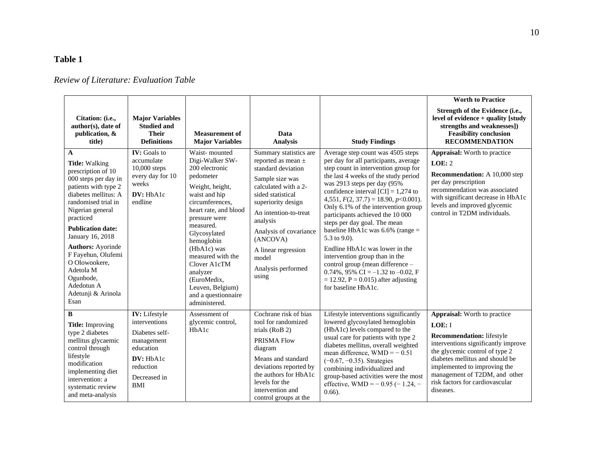## **Table 1**

## *Review of Literature: Evaluation Table*

| Citation: (i.e.,<br>author(s), date of<br>publication, &<br>title)                                                                                                                                                                                                                                                                                                                   | <b>Major Variables</b><br><b>Studied and</b><br><b>Their</b><br><b>Definitions</b>                                                  | <b>Measurement of</b><br><b>Major Variables</b>                                                                                                                                                                                                                                                                                                        | Data<br><b>Analysis</b>                                                                                                                                                                                                                                                                                | <b>Study Findings</b>                                                                                                                                                                                                                                                                                                                                                                                                                                                                                                                                                                                                                                               | <b>Worth to Practice</b><br>Strength of the Evidence (i.e.,<br>level of evidence $+$ quality [study]<br>strengths and weaknesses])<br><b>Feasibility conclusion</b><br><b>RECOMMENDATION</b>                                                                                                                   |
|--------------------------------------------------------------------------------------------------------------------------------------------------------------------------------------------------------------------------------------------------------------------------------------------------------------------------------------------------------------------------------------|-------------------------------------------------------------------------------------------------------------------------------------|--------------------------------------------------------------------------------------------------------------------------------------------------------------------------------------------------------------------------------------------------------------------------------------------------------------------------------------------------------|--------------------------------------------------------------------------------------------------------------------------------------------------------------------------------------------------------------------------------------------------------------------------------------------------------|---------------------------------------------------------------------------------------------------------------------------------------------------------------------------------------------------------------------------------------------------------------------------------------------------------------------------------------------------------------------------------------------------------------------------------------------------------------------------------------------------------------------------------------------------------------------------------------------------------------------------------------------------------------------|----------------------------------------------------------------------------------------------------------------------------------------------------------------------------------------------------------------------------------------------------------------------------------------------------------------|
| $\mathbf{A}$<br><b>Title:</b> Walking<br>prescription of 10<br>000 steps per day in<br>patients with type 2<br>diabetes mellitus: A<br>randomised trial in<br>Nigerian general<br>practiced<br><b>Publication date:</b><br>January 16, 2018<br><b>Authors: Ayorinde</b><br>F Fayehun, Olufemi<br>O Olowookere.<br>Adetola M<br>Ogunbode,<br>Adedotun A<br>Adetunji & Arinola<br>Esan | <b>IV</b> : Goals to<br>accumulate<br>$10,000$ steps<br>every day for 10<br>weeks<br>DV: HbA1c<br>endline                           | Waist-mounted<br>Digi-Walker SW-<br>200 electronic<br>pedometer<br>Weight, height,<br>waist and hip<br>circumferences,<br>heart rate, and blood<br>pressure were<br>measured.<br>Glycosylated<br>hemoglobin<br>(HbA1c) was<br>measured with the<br>Clover A1cTM<br>analyzer<br>(EuroMedix,<br>Leuven, Belgium)<br>and a questionnaire<br>administered. | Summary statistics are<br>reported as mean $\pm$<br>standard deviation<br>Sample size was<br>calculated with a 2-<br>sided statistical<br>superiority design<br>An intention-to-treat<br>analysis<br>Analysis of covariance<br>(ANCOVA)<br>A linear regression<br>model<br>Analysis performed<br>using | Average step count was 4505 steps<br>per day for all participants, average<br>step count in intervention group for<br>the last 4 weeks of the study period<br>was 2913 steps per day (95%<br>confidence interval [CI] = $1,274$ to<br>4,551, $F(2, 37.7) = 18.90, p < 0.001$ .<br>Only 6.1% of the intervention group<br>participants achieved the 10 000<br>steps per day goal. The mean<br>baseline HbA1c was $6.6\%$ (range =<br>5.3 to 9.0).<br>Endline HbA1c was lower in the<br>intervention group than in the<br>control group (mean difference -<br>0.74%, 95% CI = $-1.32$ to $-0.02$ , F<br>$= 12.92$ , P = 0.015) after adjusting<br>for baseline HbA1c. | <b>Appraisal:</b> Worth to practice<br>LOE: 2<br><b>Recommendation:</b> A 10,000 step<br>per day prescription<br>recommendation was associated<br>with significant decrease in HbA1c<br>levels and improved glycemic<br>control in T2DM individuals.                                                           |
| B<br><b>Title:</b> Improving<br>type 2 diabetes<br>mellitus glycaemic<br>control through<br>lifestyle<br>modification<br>implementing diet<br>intervention: a<br>systematic review<br>and meta-analysis                                                                                                                                                                              | IV: Lifestyle<br>interventions<br>Diabetes self-<br>management<br>education<br>DV: HbA1c<br>reduction<br>Decreased in<br><b>BMI</b> | Assessment of<br>glycemic control,<br>H <sub>b</sub> A <sub>1c</sub>                                                                                                                                                                                                                                                                                   | Cochrane risk of bias<br>tool for randomized<br>trials (RoB 2)<br>PRISMA Flow<br>diagram<br>Means and standard<br>deviations reported by<br>the authors for HbA1c<br>levels for the<br>intervention and<br>control groups at the                                                                       | Lifestyle interventions significantly<br>lowered glycosylated hemoglobin<br>(HbA1c) levels compared to the<br>usual care for patients with type 2<br>diabetes mellitus, overall weighted<br>mean difference, $WMD = -0.51$<br>$(-0.67, -0.35)$ . Strategies<br>combining individualized and<br>group-based activities were the most<br>effective, WMD = $-$ 0.95 ( $-$ 1.24, $-$<br>$0.66$ ).                                                                                                                                                                                                                                                                       | <b>Appraisal:</b> Worth to practice<br>LOE: I<br><b>Recommendation:</b> lifestyle<br>interventions significantly improve<br>the glycemic control of type 2<br>diabetes mellitus and should be<br>implemented to improving the<br>management of T2DM, and other<br>risk factors for cardiovascular<br>diseases. |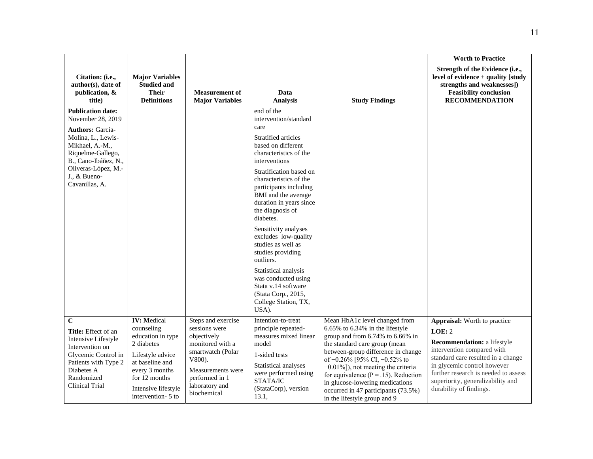|                                                                                                                                                                                                                         |                                                                                                                                                                                            |                                                                                                                                                                               |                                                                                                                                                                                                                                                                                                                                                                                                                                                                                                                                             |                                                                                                                                                                                                                                                                                                                                                                                                                   | <b>Worth to Practice</b>                                                                                                                                                                                                                                                                |
|-------------------------------------------------------------------------------------------------------------------------------------------------------------------------------------------------------------------------|--------------------------------------------------------------------------------------------------------------------------------------------------------------------------------------------|-------------------------------------------------------------------------------------------------------------------------------------------------------------------------------|---------------------------------------------------------------------------------------------------------------------------------------------------------------------------------------------------------------------------------------------------------------------------------------------------------------------------------------------------------------------------------------------------------------------------------------------------------------------------------------------------------------------------------------------|-------------------------------------------------------------------------------------------------------------------------------------------------------------------------------------------------------------------------------------------------------------------------------------------------------------------------------------------------------------------------------------------------------------------|-----------------------------------------------------------------------------------------------------------------------------------------------------------------------------------------------------------------------------------------------------------------------------------------|
| Citation: (i.e.,<br>author(s), date of<br>publication, &<br>title)                                                                                                                                                      | <b>Major Variables</b><br><b>Studied and</b><br><b>Their</b><br><b>Definitions</b>                                                                                                         | <b>Measurement of</b><br><b>Major Variables</b>                                                                                                                               | Data<br><b>Analysis</b>                                                                                                                                                                                                                                                                                                                                                                                                                                                                                                                     | <b>Study Findings</b>                                                                                                                                                                                                                                                                                                                                                                                             | Strength of the Evidence (i.e.,<br>level of evidence + quality [study<br>strengths and weaknesses])<br><b>Feasibility conclusion</b><br><b>RECOMMENDATION</b>                                                                                                                           |
| <b>Publication date:</b><br>November 28, 2019<br><b>Authors: García-</b><br>Molina, L., Lewis-<br>Mikhael, A.-M.,<br>Riquelme-Gallego,<br>B., Cano-Ibáñez, N.,<br>Oliveras-López, M.-<br>J., & Bueno-<br>Cavanillas, A. |                                                                                                                                                                                            |                                                                                                                                                                               | end of the<br>intervention/standard<br>care<br>Stratified articles<br>based on different<br>characteristics of the<br>interventions<br>Stratification based on<br>characteristics of the<br>participants including<br>BMI and the average<br>duration in years since<br>the diagnosis of<br>diabetes.<br>Sensitivity analyses<br>excludes low-quality<br>studies as well as<br>studies providing<br>outliers.<br>Statistical analysis<br>was conducted using<br>Stata v.14 software<br>(Stata Corp., 2015,<br>College Station, TX,<br>USA). |                                                                                                                                                                                                                                                                                                                                                                                                                   |                                                                                                                                                                                                                                                                                         |
| $\mathbf C$<br><b>Title:</b> Effect of an<br><b>Intensive Lifestyle</b><br>Intervention on<br>Glycemic Control in<br>Patients with Type 2<br>Diabetes A<br>Randomized<br>Clinical Trial                                 | <b>IV: Medical</b><br>counseling<br>education in type<br>2 diabetes<br>Lifestyle advice<br>at baseline and<br>every 3 months<br>for 12 months<br>Intensive lifestyle<br>intervention- 5 to | Steps and exercise<br>sessions were<br>objectively<br>monitored with a<br>smartwatch (Polar<br>V800).<br>Measurements were<br>performed in 1<br>laboratory and<br>biochemical | Intention-to-treat<br>principle repeated-<br>measures mixed linear<br>model<br>1-sided tests<br>Statistical analyses<br>were performed using<br>STATA/IC<br>(StataCorp), version<br>13.1,                                                                                                                                                                                                                                                                                                                                                   | Mean HbA1c level changed from<br>6.65% to 6.34% in the lifestyle<br>group and from $6.74\%$ to $6.66\%$ in<br>the standard care group (mean<br>between-group difference in change<br>of -0.26% [95% CI, -0.52% to<br>$-0.01\%$ ]), not meeting the criteria<br>for equivalence ( $P = .15$ ). Reduction<br>in glucose-lowering medications<br>occurred in 47 participants (73.5%)<br>in the lifestyle group and 9 | Appraisal: Worth to practice<br>LOE: 2<br><b>Recommendation:</b> a lifestyle<br>intervention compared with<br>standard care resulted in a change<br>in glycemic control however<br>further research is needed to assess<br>superiority, generalizability and<br>durability of findings. |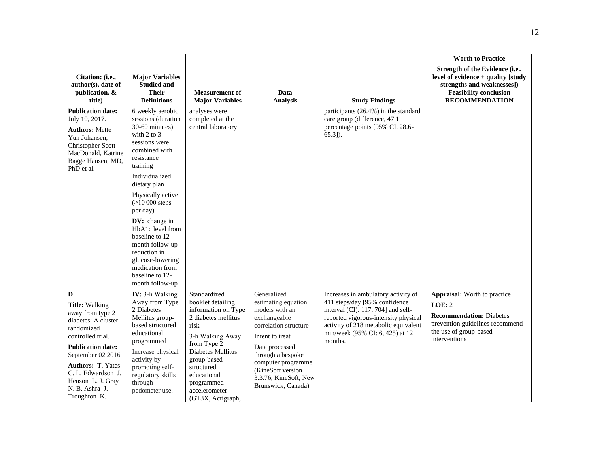|                                                                                                                                                                                                                                                                    |                                                                                                                                                                                                                                                                                                                                                                                                            |                                                                                                                                                                                                                                                 |                                                                                                                                                                                                                                                   |                                                                                                                                                                                                                                          | <b>Worth to Practice</b>                                                                                                                                        |
|--------------------------------------------------------------------------------------------------------------------------------------------------------------------------------------------------------------------------------------------------------------------|------------------------------------------------------------------------------------------------------------------------------------------------------------------------------------------------------------------------------------------------------------------------------------------------------------------------------------------------------------------------------------------------------------|-------------------------------------------------------------------------------------------------------------------------------------------------------------------------------------------------------------------------------------------------|---------------------------------------------------------------------------------------------------------------------------------------------------------------------------------------------------------------------------------------------------|------------------------------------------------------------------------------------------------------------------------------------------------------------------------------------------------------------------------------------------|-----------------------------------------------------------------------------------------------------------------------------------------------------------------|
| Citation: (i.e.,<br>author(s), date of<br>publication, &<br>title)                                                                                                                                                                                                 | <b>Major Variables</b><br><b>Studied and</b><br><b>Their</b><br><b>Definitions</b>                                                                                                                                                                                                                                                                                                                         | <b>Measurement of</b><br><b>Major Variables</b>                                                                                                                                                                                                 | Data<br><b>Analysis</b>                                                                                                                                                                                                                           | <b>Study Findings</b>                                                                                                                                                                                                                    | Strength of the Evidence (i.e.,<br>level of evidence $+$ quality [study<br>strengths and weaknesses])<br><b>Feasibility conclusion</b><br><b>RECOMMENDATION</b> |
| <b>Publication date:</b><br>July 10, 2017.<br><b>Authors: Mette</b><br>Yun Johansen,<br>Christopher Scott<br>MacDonald, Katrine<br>Bagge Hansen, MD,<br>PhD et al.                                                                                                 | 6 weekly aerobic<br>sessions (duration<br>30-60 minutes)<br>with $2$ to $3$<br>sessions were<br>combined with<br>resistance<br>training<br>Individualized<br>dietary plan<br>Physically active<br>$( \geq 10000$ steps<br>per day)<br>DV: change in<br>HbA1c level from<br>baseline to 12-<br>month follow-up<br>reduction in<br>glucose-lowering<br>medication from<br>baseline to 12-<br>month follow-up | analyses were<br>completed at the<br>central laboratory                                                                                                                                                                                         |                                                                                                                                                                                                                                                   | participants (26.4%) in the standard<br>care group (difference, 47.1<br>percentage points [95% CI, 28.6-<br>$65.3$ ]).                                                                                                                   |                                                                                                                                                                 |
| D<br><b>Title:</b> Walking<br>away from type 2<br>diabetes: A cluster<br>randomized<br>controlled trial.<br><b>Publication date:</b><br>September 02 2016<br><b>Authors: T. Yates</b><br>C. L. Edwardson J.<br>Henson L. J. Gray<br>N. B. Ashra J.<br>Troughton K. | IV: 3-h Walking<br>Away from Type<br>2 Diabetes<br>Mellitus group-<br>based structured<br>educational<br>programmed<br>Increase physical<br>activity by<br>promoting self-<br>regulatory skills<br>through<br>pedometer use.                                                                                                                                                                               | Standardized<br>booklet detailing<br>information on Type<br>2 diabetes mellitus<br>risk<br>3-h Walking Away<br>from Type 2<br>Diabetes Mellitus<br>group-based<br>structured<br>educational<br>programmed<br>accelerometer<br>(GT3X, Actigraph, | Generalized<br>estimating equation<br>models with an<br>exchangeable<br>correlation structure<br>Intent to treat<br>Data processed<br>through a bespoke<br>computer programme<br>(KineSoft version<br>3.3.76, KineSoft, New<br>Brunswick, Canada) | Increases in ambulatory activity of<br>411 steps/day [95% confidence<br>interval (CI): 117, 704] and self-<br>reported vigorous-intensity physical<br>activity of 218 metabolic equivalent<br>min/week (95% CI: 6, 425) at 12<br>months. | <b>Appraisal:</b> Worth to practice<br>LOE: 2<br><b>Recommendation: Diabetes</b><br>prevention guidelines recommend<br>the use of group-based<br>interventions  |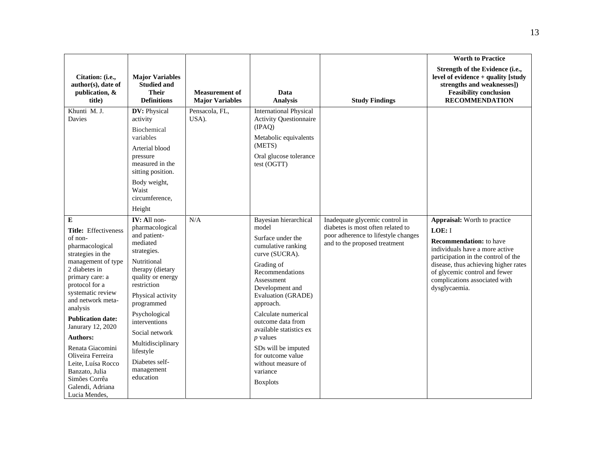|                                                                                                                                                                                                                                                                                                                                                                                                                           |                                                                                                                                                                                                                                                                                                                         |                                                 |                                                                                                                                                                                                                                                                                                                                                                                               |                                                                                                                                             | <b>Worth to Practice</b>                                                                                                                                                                                                                                                     |
|---------------------------------------------------------------------------------------------------------------------------------------------------------------------------------------------------------------------------------------------------------------------------------------------------------------------------------------------------------------------------------------------------------------------------|-------------------------------------------------------------------------------------------------------------------------------------------------------------------------------------------------------------------------------------------------------------------------------------------------------------------------|-------------------------------------------------|-----------------------------------------------------------------------------------------------------------------------------------------------------------------------------------------------------------------------------------------------------------------------------------------------------------------------------------------------------------------------------------------------|---------------------------------------------------------------------------------------------------------------------------------------------|------------------------------------------------------------------------------------------------------------------------------------------------------------------------------------------------------------------------------------------------------------------------------|
| Citation: (i.e.,<br>author(s), date of<br>publication, &<br>title)                                                                                                                                                                                                                                                                                                                                                        | <b>Major Variables</b><br><b>Studied and</b><br><b>Their</b><br><b>Definitions</b>                                                                                                                                                                                                                                      | <b>Measurement of</b><br><b>Major Variables</b> | Data<br><b>Analysis</b>                                                                                                                                                                                                                                                                                                                                                                       | <b>Study Findings</b>                                                                                                                       | Strength of the Evidence (i.e.,<br>level of evidence + quality [study<br>strengths and weaknesses])<br><b>Feasibility conclusion</b><br><b>RECOMMENDATION</b>                                                                                                                |
| Khunti M.J.<br>Davies                                                                                                                                                                                                                                                                                                                                                                                                     | DV: Physical<br>activity<br><b>Biochemical</b><br>variables<br>Arterial blood<br>pressure<br>measured in the<br>sitting position.<br>Body weight,<br>Waist<br>circumference,<br>Height                                                                                                                                  | Pensacola, FL,<br>USA).                         | <b>International Physical</b><br><b>Activity Questionnaire</b><br>(IPAO)<br>Metabolic equivalents<br>(METS)<br>Oral glucose tolerance<br>test (OGTT)                                                                                                                                                                                                                                          |                                                                                                                                             |                                                                                                                                                                                                                                                                              |
| E<br>Title: Effectiveness<br>of non-<br>pharmacological<br>strategies in the<br>management of type<br>2 diabetes in<br>primary care: a<br>protocol for a<br>systematic review<br>and network meta-<br>analysis<br><b>Publication date:</b><br>Janurary 12, 2020<br><b>Authors:</b><br>Renata Giacomini<br>Oliveira Ferreira<br>Leite, Luísa Rocco<br>Banzato, Julia<br>Simões Corrêa<br>Galendi, Adriana<br>Lucia Mendes, | IV: All non-<br>pharmacological<br>and patient-<br>mediated<br>strategies.<br>Nutritional<br>therapy (dietary<br>quality or energy<br>restriction<br>Physical activity<br>programmed<br>Psychological<br>interventions<br>Social network<br>Multidisciplinary<br>lifestyle<br>Diabetes self-<br>management<br>education | $\rm N/A$                                       | Bayesian hierarchical<br>model<br>Surface under the<br>cumulative ranking<br>curve (SUCRA).<br>Grading of<br>Recommendations<br>Assessment<br>Development and<br><b>Evaluation (GRADE)</b><br>approach.<br>Calculate numerical<br>outcome data from<br>available statistics ex<br>$p$ values<br>SDs will be imputed<br>for outcome value<br>without measure of<br>variance<br><b>Boxplots</b> | Inadequate glycemic control in<br>diabetes is most often related to<br>poor adherence to lifestyle changes<br>and to the proposed treatment | Appraisal: Worth to practice<br>LOE: I<br><b>Recommendation:</b> to have<br>individuals have a more active<br>participation in the control of the<br>disease, thus achieving higher rates<br>of glycemic control and fewer<br>complications associated with<br>dysglycaemia. |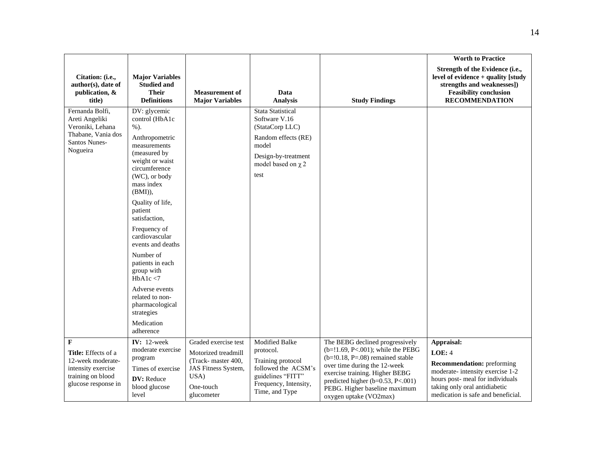|                                                                                                                 |                                                                                                                                                                                                                                                                                                                                                                                                                                                |                                                                                                                             |                                                                                                                                                        |                                                                                                                                                                                                                                                                                     | <b>Worth to Practice</b>                                                                                                                                                                               |
|-----------------------------------------------------------------------------------------------------------------|------------------------------------------------------------------------------------------------------------------------------------------------------------------------------------------------------------------------------------------------------------------------------------------------------------------------------------------------------------------------------------------------------------------------------------------------|-----------------------------------------------------------------------------------------------------------------------------|--------------------------------------------------------------------------------------------------------------------------------------------------------|-------------------------------------------------------------------------------------------------------------------------------------------------------------------------------------------------------------------------------------------------------------------------------------|--------------------------------------------------------------------------------------------------------------------------------------------------------------------------------------------------------|
| Citation: (i.e.,<br>author(s), date of<br>publication, &<br>title)                                              | <b>Major Variables</b><br><b>Studied and</b><br><b>Their</b><br><b>Definitions</b>                                                                                                                                                                                                                                                                                                                                                             | <b>Measurement of</b><br><b>Major Variables</b>                                                                             | Data<br><b>Analysis</b>                                                                                                                                | <b>Study Findings</b>                                                                                                                                                                                                                                                               | Strength of the Evidence (i.e.,<br>level of evidence + quality [study<br>strengths and weaknesses])<br><b>Feasibility conclusion</b><br><b>RECOMMENDATION</b>                                          |
| Fernanda Bolfi,<br>Areti Angeliki<br>Veroniki, Lehana<br>Thabane, Vania dos<br>Santos Nunes-<br>Nogueira        | DV: glycemic<br>control (HbA1c<br>$%$ ).<br>Anthropometric<br>measurements<br>(measured by<br>weight or waist<br>circumference<br>(WC), or body<br>mass index<br>(BMI)),<br>Quality of life,<br>patient<br>satisfaction,<br>Frequency of<br>cardiovascular<br>events and deaths<br>Number of<br>patients in each<br>group with<br>HbA1c $<$ 7<br>Adverse events<br>related to non-<br>pharmacological<br>strategies<br>Medication<br>adherence |                                                                                                                             | <b>Stata Statistical</b><br>Software V.16<br>(StataCorp LLC)<br>Random effects (RE)<br>model<br>Design-by-treatment<br>model based on $\chi$ 2<br>test |                                                                                                                                                                                                                                                                                     |                                                                                                                                                                                                        |
| F<br>Title: Effects of a<br>12-week moderate-<br>intensity exercise<br>training on blood<br>glucose response in | IV: $12$ -week<br>moderate exercise<br>program<br>Times of exercise<br>DV: Reduce<br>blood glucose<br>level                                                                                                                                                                                                                                                                                                                                    | Graded exercise test<br>Motorized treadmill<br>(Track-master 400,<br>JAS Fitness System,<br>USA)<br>One-touch<br>glucometer | <b>Modified Balke</b><br>protocol.<br>Training protocol<br>followed the ACSM's<br>guidelines "FITT"<br>Frequency, Intensity,<br>Time, and Type         | The BEBG declined progressively<br>$(b=!1.69, P<.001)$ ; while the PEBG<br>$(b=!0.18, P=.08)$ remained stable<br>over time during the 12-week<br>exercise training. Higher BEBG<br>predicted higher ( $b=0.53$ , P<.001)<br>PEBG. Higher baseline maximum<br>oxygen uptake (VO2max) | Appraisal:<br>LOE: 4<br><b>Recommendation:</b> preforming<br>moderate-intensity exercise 1-2<br>hours post-meal for individuals<br>taking only oral antidiabetic<br>medication is safe and beneficial. |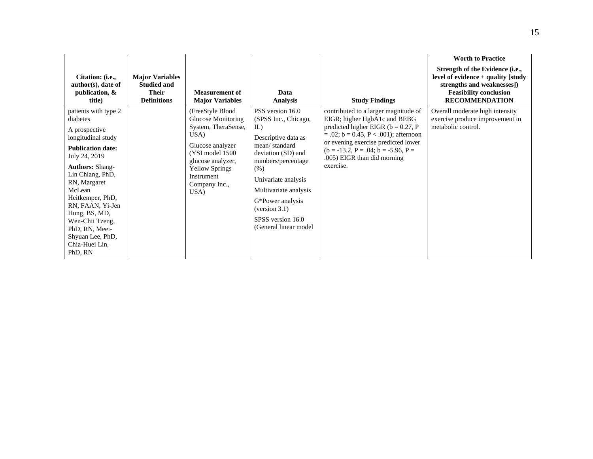| Citation: ( <i>i.e.</i> ,<br>$author(s)$ , date of<br>publication, $\&$<br>title)                                                                                                                                                                                                                                                           | <b>Major Variables</b><br><b>Studied and</b><br><b>Their</b><br><b>Definitions</b> | <b>Measurement of</b><br><b>Major Variables</b>                                                                                                                                                           | Data<br>Analysis                                                                                                                                                                                                                                                               | <b>Study Findings</b>                                                                                                                                                                                                                                                                        | <b>Worth to Practice</b><br>Strength of the Evidence (i.e.,<br>level of evidence $+$ quality [study]<br>strengths and weaknesses])<br><b>Feasibility conclusion</b><br><b>RECOMMENDATION</b> |
|---------------------------------------------------------------------------------------------------------------------------------------------------------------------------------------------------------------------------------------------------------------------------------------------------------------------------------------------|------------------------------------------------------------------------------------|-----------------------------------------------------------------------------------------------------------------------------------------------------------------------------------------------------------|--------------------------------------------------------------------------------------------------------------------------------------------------------------------------------------------------------------------------------------------------------------------------------|----------------------------------------------------------------------------------------------------------------------------------------------------------------------------------------------------------------------------------------------------------------------------------------------|----------------------------------------------------------------------------------------------------------------------------------------------------------------------------------------------|
| patients with type 2<br>diabetes<br>A prospective<br>longitudinal study<br><b>Publication date:</b><br>July 24, 2019<br><b>Authors: Shang-</b><br>Lin Chiang, PhD,<br>RN, Margaret<br>McLean<br>Heitkemper, PhD,<br>RN, FAAN, Yi-Jen<br>Hung, BS, MD,<br>Wen-Chii Tzeng,<br>PhD, RN, Meei-<br>Shyuan Lee, PhD,<br>Chia-Huei Lin,<br>PhD, RN |                                                                                    | (FreeStyle Blood<br><b>Glucose Monitoring</b><br>System, TheraSense,<br>USA)<br>Glucose analyzer<br>(YSI model 1500)<br>glucose analyzer,<br><b>Yellow Springs</b><br>Instrument<br>Company Inc.,<br>USA) | PSS version 16.0<br>(SPSS Inc., Chicago,<br>IL<br>Descriptive data as<br>mean/standard<br>deviation (SD) and<br>numbers/percentage<br>(% )<br>Univariate analysis<br>Multivariate analysis<br>G*Power analysis<br>(version 3.1)<br>SPSS version 16.0<br>(General linear model) | contributed to a larger magnitude of<br>EIGR; higher HgbA1c and BEBG<br>predicted higher EIGR ( $b = 0.27$ , P<br>$= .02$ ; b $= 0.45$ , P $< .001$ ); afternoon<br>or evening exercise predicted lower<br>$(b = -13.2, P = .04; b = -5.96, P =$<br>.005) EIGR than did morning<br>exercise. | Overall moderate high intensity<br>exercise produce improvement in<br>metabolic control.                                                                                                     |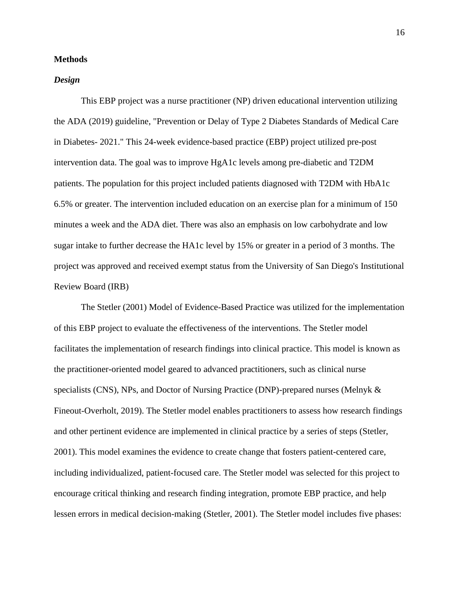#### **Methods**

#### *Design*

This EBP project was a nurse practitioner (NP) driven educational intervention utilizing the ADA (2019) guideline, "Prevention or Delay of Type 2 Diabetes Standards of Medical Care in Diabetes- 2021." This 24-week evidence-based practice (EBP) project utilized pre-post intervention data. The goal was to improve HgA1c levels among pre-diabetic and T2DM patients. The population for this project included patients diagnosed with T2DM with HbA1c 6.5% or greater. The intervention included education on an exercise plan for a minimum of 150 minutes a week and the ADA diet. There was also an emphasis on low carbohydrate and low sugar intake to further decrease the HA1c level by 15% or greater in a period of 3 months. The project was approved and received exempt status from the University of San Diego's Institutional Review Board (IRB)

The Stetler (2001) Model of Evidence-Based Practice was utilized for the implementation of this EBP project to evaluate the effectiveness of the interventions. The Stetler model facilitates the implementation of research findings into clinical practice. This model is known as the practitioner-oriented model geared to advanced practitioners, such as clinical nurse specialists (CNS), NPs, and Doctor of Nursing Practice (DNP)-prepared nurses (Melnyk & Fineout-Overholt, 2019). The Stetler model enables practitioners to assess how research findings and other pertinent evidence are implemented in clinical practice by a series of steps (Stetler, 2001). This model examines the evidence to create change that fosters patient-centered care, including individualized, patient-focused care. The Stetler model was selected for this project to encourage critical thinking and research finding integration, promote EBP practice, and help lessen errors in medical decision-making (Stetler, 2001). The Stetler model includes five phases: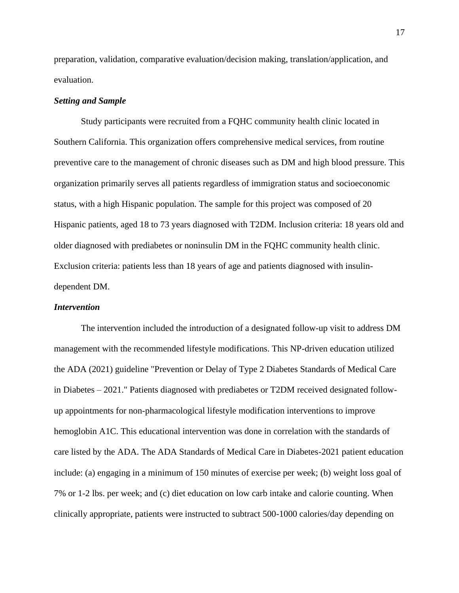preparation, validation, comparative evaluation/decision making, translation/application, and evaluation.

#### *Setting and Sample*

Study participants were recruited from a FQHC community health clinic located in Southern California. This organization offers comprehensive medical services, from routine preventive care to the management of chronic diseases such as DM and high blood pressure. This organization primarily serves all patients regardless of immigration status and socioeconomic status, with a high Hispanic population. The sample for this project was composed of 20 Hispanic patients, aged 18 to 73 years diagnosed with T2DM. Inclusion criteria: 18 years old and older diagnosed with prediabetes or noninsulin DM in the FQHC community health clinic. Exclusion criteria: patients less than 18 years of age and patients diagnosed with insulindependent DM.

#### *Intervention*

The intervention included the introduction of a designated follow-up visit to address DM management with the recommended lifestyle modifications. This NP-driven education utilized the ADA (2021) guideline "Prevention or Delay of Type 2 Diabetes Standards of Medical Care in Diabetes – 2021." Patients diagnosed with prediabetes or T2DM received designated followup appointments for non-pharmacological lifestyle modification interventions to improve hemoglobin A1C. This educational intervention was done in correlation with the standards of care listed by the ADA. The ADA Standards of Medical Care in Diabetes-2021 patient education include: (a) engaging in a minimum of 150 minutes of exercise per week; (b) weight loss goal of 7% or 1-2 lbs. per week; and (c) diet education on low carb intake and calorie counting. When clinically appropriate, patients were instructed to subtract 500-1000 calories/day depending on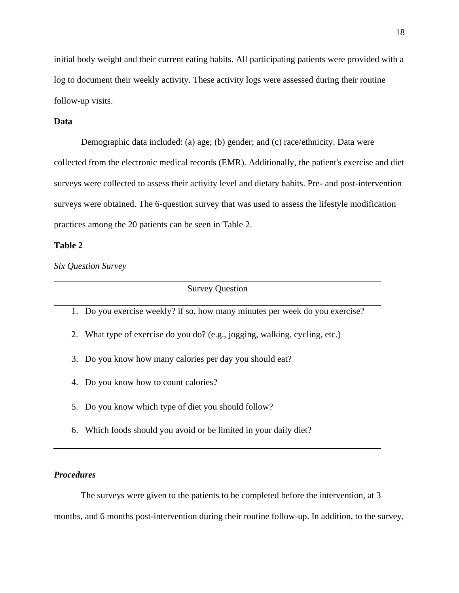initial body weight and their current eating habits. All participating patients were provided with a log to document their weekly activity. These activity logs were assessed during their routine follow-up visits.

#### **Data**

Demographic data included: (a) age; (b) gender; and (c) race/ethnicity. Data were collected from the electronic medical records (EMR). Additionally, the patient's exercise and diet surveys were collected to assess their activity level and dietary habits. Pre- and post-intervention surveys were obtained. The 6-question survey that was used to assess the lifestyle modification practices among the 20 patients can be seen in Table 2.

## **Table 2**

*Six Question Survey*

Survey Question

1. Do you exercise weekly? if so, how many minutes per week do you exercise?

- 2. What type of exercise do you do? (e.g., jogging, walking, cycling, etc.)
- 3. Do you know how many calories per day you should eat?
- 4. Do you know how to count calories?
- 5. Do you know which type of diet you should follow?
- 6. Which foods should you avoid or be limited in your daily diet?

## *Procedures*

The surveys were given to the patients to be completed before the intervention, at 3 months, and 6 months post-intervention during their routine follow-up. In addition, to the survey,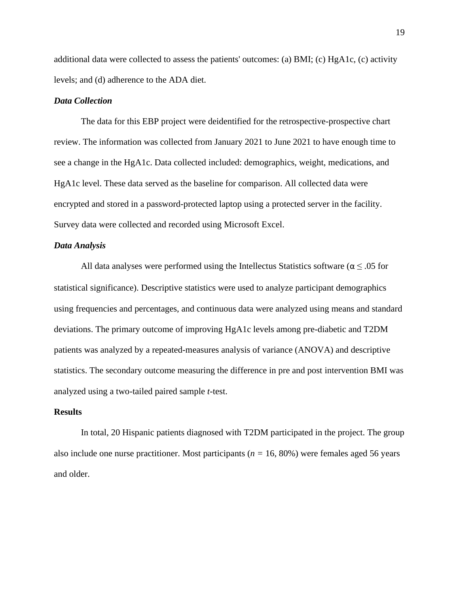additional data were collected to assess the patients' outcomes: (a) BMI; (c) HgA1c, (c) activity levels; and (d) adherence to the ADA diet.

#### *Data Collection*

The data for this EBP project were deidentified for the retrospective-prospective chart review. The information was collected from January 2021 to June 2021 to have enough time to see a change in the HgA1c. Data collected included: demographics, weight, medications, and HgA1c level. These data served as the baseline for comparison. All collected data were encrypted and stored in a password-protected laptop using a protected server in the facility. Survey data were collected and recorded using Microsoft Excel.

#### *Data Analysis*

All data analyses were performed using the Intellectus Statistics software ( $\alpha \leq .05$  for statistical significance). Descriptive statistics were used to analyze participant demographics using frequencies and percentages, and continuous data were analyzed using means and standard deviations. The primary outcome of improving HgA1c levels among pre-diabetic and T2DM patients was analyzed by a repeated-measures analysis of variance (ANOVA) and descriptive statistics. The secondary outcome measuring the difference in pre and post intervention BMI was analyzed using a two-tailed paired sample *t*-test.

#### **Results**

In total, 20 Hispanic patients diagnosed with T2DM participated in the project. The group also include one nurse practitioner. Most participants ( $n = 16, 80\%$ ) were females aged 56 years and older.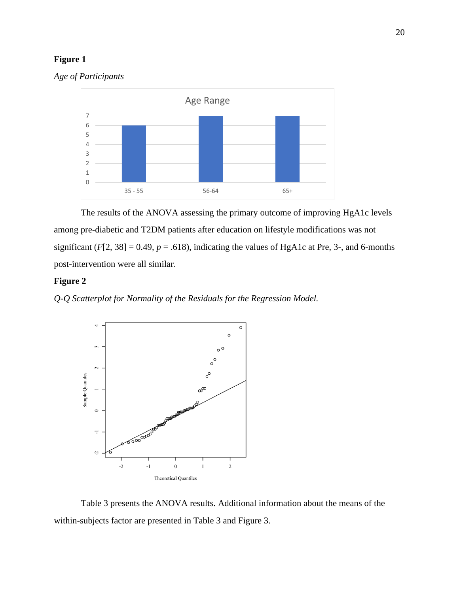## **Figure 1**





The results of the ANOVA assessing the primary outcome of improving HgA1c levels among pre-diabetic and T2DM patients after education on lifestyle modifications was not significant  $(F[2, 38] = 0.49, p = .618)$ , indicating the values of HgA1c at Pre, 3-, and 6-months post-intervention were all similar.

## **Figure 2**

*Q-Q Scatterplot for Normality of the Residuals for the Regression Model.*



Table 3 presents the ANOVA results. Additional information about the means of the within-subjects factor are presented in Table 3 and Figure 3.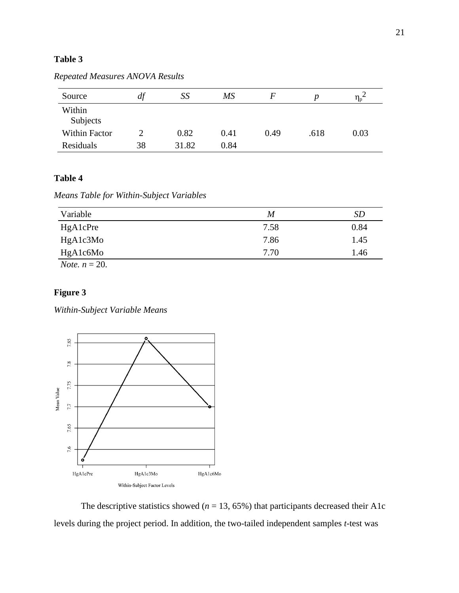## **Table 3**

| Source             | df | SS    | MS   | F    |      | $\eta_{p}$ |
|--------------------|----|-------|------|------|------|------------|
| Within<br>Subjects |    |       |      |      |      |            |
| Within Factor      |    | 0.82  | 0.41 | 0.49 | .618 | 0.03       |
| Residuals          | 38 | 31.82 | 0.84 |      |      |            |

## *Repeated Measures ANOVA Results*

## **Table 4**

*Means Table for Within-Subject Variables*

| Variable                | M    | <b>SD</b> |
|-------------------------|------|-----------|
| HgA1cPre                | 7.58 | 0.84      |
| HgA1c3Mo                | 7.86 | 1.45      |
| HgA1c6Mo                | 7.70 | 1.46      |
| <i>Note.</i> $n = 20$ . |      |           |

## **Figure 3**

*Within-Subject Variable Means*



The descriptive statistics showed ( $n = 13, 65\%$ ) that participants decreased their A1c levels during the project period. In addition, the two-tailed independent samples *t*-test was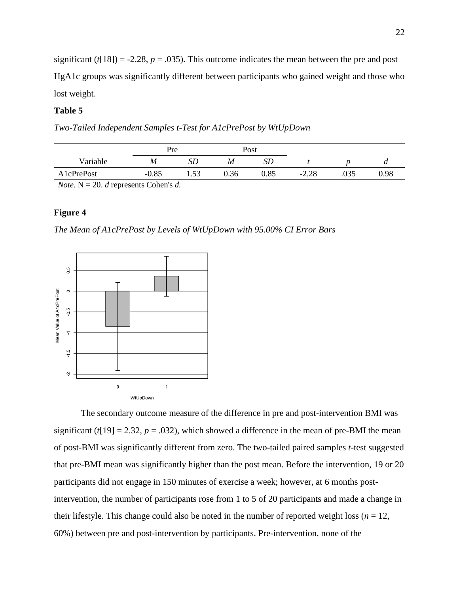significant  $(t[18]) = -2.28$ ,  $p = .035$ ). This outcome indicates the mean between the pre and post HgA1c groups was significantly different between participants who gained weight and those who lost weight.

## **Table 5**

*Two-Tailed Independent Samples t-Test for A1cPrePost by WtUpDown*

|            | Pre     |      | Post |      |         |      |      |
|------------|---------|------|------|------|---------|------|------|
| Variable   | M       | SD   | M    | SD   |         |      | u    |
| A1cPrePost | $-0.85$ | 1.53 | 0.36 | 0.85 | $-2.28$ | .035 | 0.98 |
| .          | ____    |      |      |      |         |      |      |

*Note.*  $N = 20$ *. <i>d* represents Cohen's *d.* 

#### **Figure 4**

*The Mean of A1cPrePost by Levels of WtUpDown with 95.00% CI Error Bars*



The secondary outcome measure of the difference in pre and post-intervention BMI was significant ( $t[19] = 2.32$ ,  $p = .032$ ), which showed a difference in the mean of pre-BMI the mean of post-BMI was significantly different from zero. The two-tailed paired samples *t*-test suggested that pre-BMI mean was significantly higher than the post mean. Before the intervention, 19 or 20 participants did not engage in 150 minutes of exercise a week; however, at 6 months postintervention, the number of participants rose from 1 to 5 of 20 participants and made a change in their lifestyle. This change could also be noted in the number of reported weight loss ( $n = 12$ , 60%) between pre and post-intervention by participants. Pre-intervention, none of the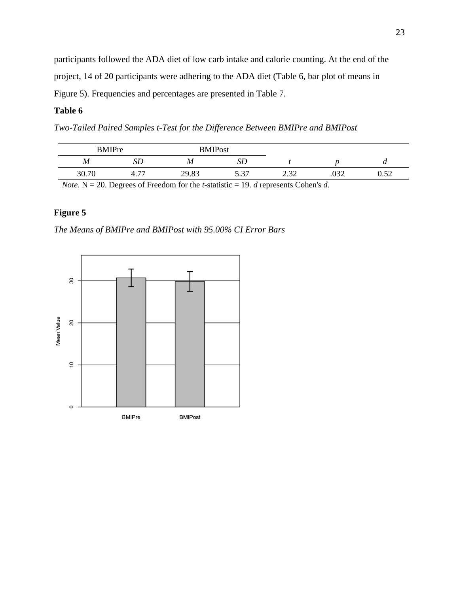participants followed the ADA diet of low carb intake and calorie counting. At the end of the project, 14 of 20 participants were adhering to the ADA diet (Table 6, bar plot of means in Figure 5). Frequencies and percentages are presented in Table 7.

## **Table 6**

*Two-Tailed Paired Samples t-Test for the Difference Between BMIPre and BMIPost*

| <b>BMIPre</b>    |                                | <b>BMIPost</b> |             |              |             |            |
|------------------|--------------------------------|----------------|-------------|--------------|-------------|------------|
| $\boldsymbol{M}$ |                                | M              |             |              |             | u          |
| 20.70            | $\overline{\phantom{a}}$<br>4. | 29.83          | 5.27<br>، ت | റ ററ<br>2.JZ | าวา<br>.vja | 50<br>∪.J∠ |

*Note.* N = 20. Degrees of Freedom for the *t*-statistic = 19. *d* represents Cohen's *d.*

## **Figure 5**

*The Means of BMIPre and BMIPost with 95.00% CI Error Bars*

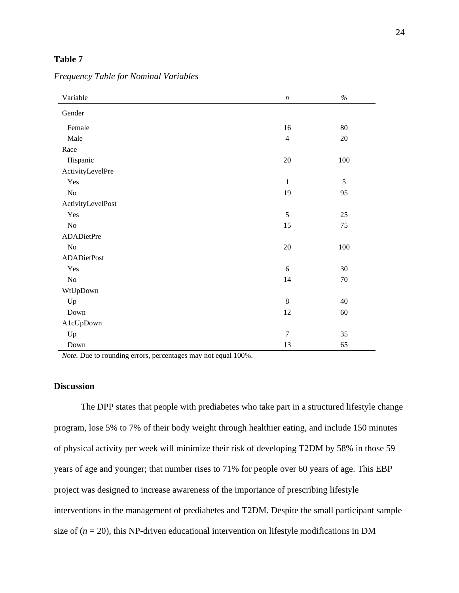## **Table 7**

| Variable           | $\boldsymbol{n}$ | $\%$       |
|--------------------|------------------|------------|
| Gender             |                  |            |
| Female             | $16$             | 80         |
| Male               | $\overline{4}$   | 20         |
| Race               |                  |            |
| Hispanic           | $20\,$           | $100\,$    |
| ActivityLevelPre   |                  |            |
| Yes                | $\mathbf{1}$     | $\sqrt{5}$ |
| $\rm No$           | 19               | 95         |
| ActivityLevelPost  |                  |            |
| Yes                | 5                | 25         |
| $\rm No$           | 15               | 75         |
| ADADietPre         |                  |            |
| $\rm No$           | $20\,$           | $100\,$    |
| <b>ADADietPost</b> |                  |            |
| Yes                | 6                | $30\,$     |
| $\rm No$           | 14               | $70\,$     |
| WtUpDown           |                  |            |
| Up                 | 8                | 40         |
| Down               | 12               | 60         |
| A1cUpDown          |                  |            |
| Up                 | $\overline{7}$   | 35         |
| Down               | 13               | 65         |

*Frequency Table for Nominal Variables*

*Note.* Due to rounding errors, percentages may not equal 100%.

#### **Discussion**

The DPP states that people with prediabetes who take part in a structured lifestyle change program, lose 5% to 7% of their body weight through healthier eating, and include 150 minutes of physical activity per week will minimize their risk of developing T2DM by 58% in those 59 years of age and younger; that number rises to 71% for people over 60 years of age. This EBP project was designed to increase awareness of the importance of prescribing lifestyle interventions in the management of prediabetes and T2DM. Despite the small participant sample size of  $(n = 20)$ , this NP-driven educational intervention on lifestyle modifications in DM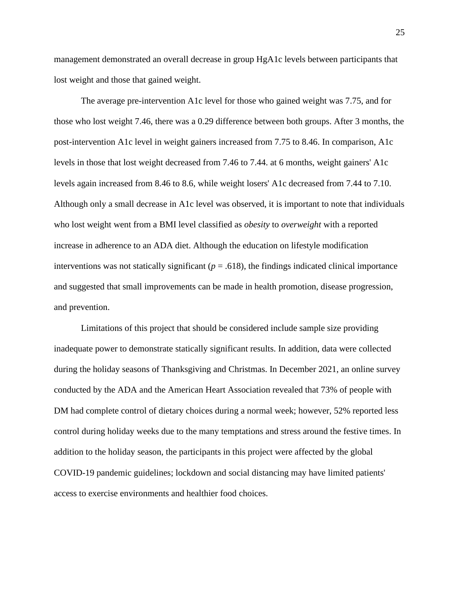management demonstrated an overall decrease in group HgA1c levels between participants that lost weight and those that gained weight.

The average pre-intervention A1c level for those who gained weight was 7.75, and for those who lost weight 7.46, there was a 0.29 difference between both groups. After 3 months, the post-intervention A1c level in weight gainers increased from 7.75 to 8.46. In comparison, A1c levels in those that lost weight decreased from 7.46 to 7.44. at 6 months, weight gainers' A1c levels again increased from 8.46 to 8.6, while weight losers' A1c decreased from 7.44 to 7.10. Although only a small decrease in A1c level was observed, it is important to note that individuals who lost weight went from a BMI level classified as *obesity* to *overweight* with a reported increase in adherence to an ADA diet. Although the education on lifestyle modification interventions was not statically significant  $(p = .618)$ , the findings indicated clinical importance and suggested that small improvements can be made in health promotion, disease progression, and prevention.

Limitations of this project that should be considered include sample size providing inadequate power to demonstrate statically significant results. In addition, data were collected during the holiday seasons of Thanksgiving and Christmas. In December 2021, an online survey conducted by the ADA and the American Heart Association revealed that 73% of people with DM had complete control of dietary choices during a normal week; however, 52% reported less control during holiday weeks due to the many temptations and stress around the festive times. In addition to the holiday season, the participants in this project were affected by the global COVID-19 pandemic guidelines; lockdown and social distancing may have limited patients' access to exercise environments and healthier food choices.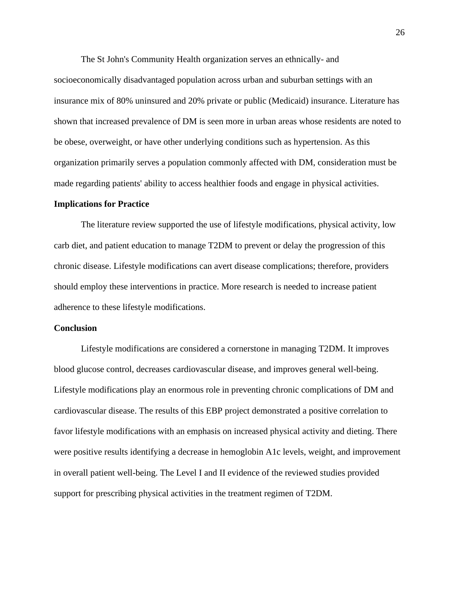The St John's Community Health organization serves an ethnically- and

socioeconomically disadvantaged population across urban and suburban settings with an insurance mix of 80% uninsured and 20% private or public (Medicaid) insurance. Literature has shown that increased prevalence of DM is seen more in urban areas whose residents are noted to be obese, overweight, or have other underlying conditions such as hypertension. As this organization primarily serves a population commonly affected with DM, consideration must be made regarding patients' ability to access healthier foods and engage in physical activities.

#### **Implications for Practice**

The literature review supported the use of lifestyle modifications, physical activity, low carb diet, and patient education to manage T2DM to prevent or delay the progression of this chronic disease. Lifestyle modifications can avert disease complications; therefore, providers should employ these interventions in practice. More research is needed to increase patient adherence to these lifestyle modifications.

#### **Conclusion**

Lifestyle modifications are considered a cornerstone in managing T2DM. It improves blood glucose control, decreases cardiovascular disease, and improves general well-being. Lifestyle modifications play an enormous role in preventing chronic complications of DM and cardiovascular disease. The results of this EBP project demonstrated a positive correlation to favor lifestyle modifications with an emphasis on increased physical activity and dieting. There were positive results identifying a decrease in hemoglobin A1c levels, weight, and improvement in overall patient well-being. The Level I and II evidence of the reviewed studies provided support for prescribing physical activities in the treatment regimen of T2DM.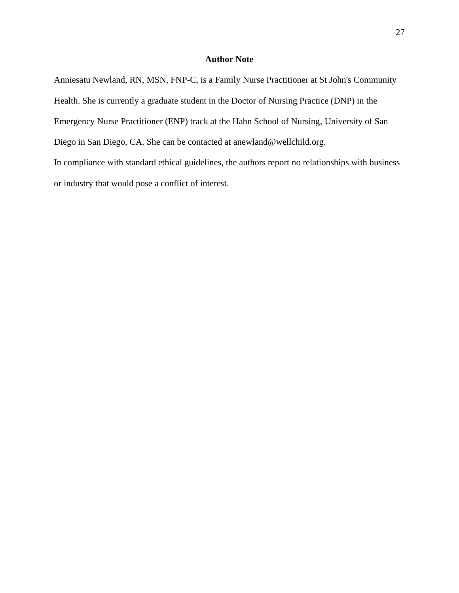## **Author Note**

Anniesatu Newland, RN, MSN, FNP-C, is a Family Nurse Practitioner at St John's Community Health. She is currently a graduate student in the Doctor of Nursing Practice (DNP) in the Emergency Nurse Practitioner (ENP) track at the Hahn School of Nursing, University of San Diego in San Diego, CA. She can be contacted at anewland@wellchild.org. In compliance with standard ethical guidelines, the authors report no relationships with business or industry that would pose a conflict of interest.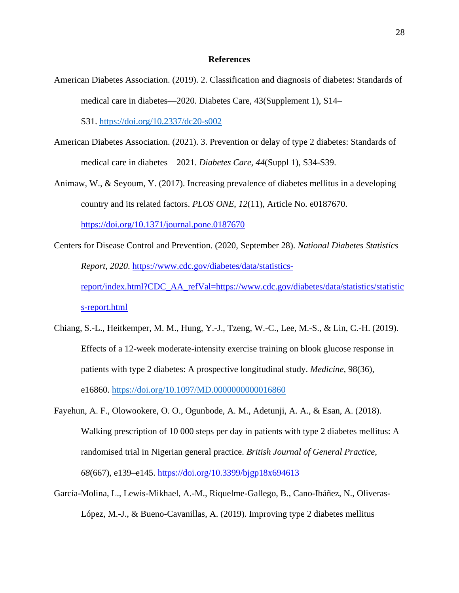#### **References**

American Diabetes Association. (2019). 2. Classification and diagnosis of diabetes: Standards of medical care in diabetes—2020. Diabetes Care, 43(Supplement 1), S14–

S31. <https://doi.org/10.2337/dc20-s002>

- American Diabetes Association. (2021). 3. Prevention or delay of type 2 diabetes: Standards of medical care in diabetes – 2021. *Diabetes Care, 44*(Suppl 1), S34-S39.
- Animaw, W., & Seyoum, Y. (2017). Increasing prevalence of diabetes mellitus in a developing country and its related factors. *PLOS ONE*, *12*(11), Article No. e0187670. [https://doi.org/10.1371/journal.pone.0187670](about:blank)
- Centers for Disease Control and Prevention. (2020, September 28). *National Diabetes Statistics Report, 2020*. [https://www.cdc.gov/diabetes/data/statistics](about:blank)[report/index.html?CDC\\_AA\\_refVal=https://www.cdc.gov/diabetes/data/statistics/statistic](about:blank) [s-report.html](about:blank)
- Chiang, S.-L., Heitkemper, M. M., Hung, Y.-J., Tzeng, W.-C., Lee, M.-S., & Lin, C.-H. (2019). Effects of a 12-week moderate-intensity exercise training on blook glucose response in patients with type 2 diabetes: A prospective longitudinal study. *Medicine,* 98(36), e16860. <https://doi.org/10.1097/MD.0000000000016860>
- Fayehun, A. F., Olowookere, O. O., Ogunbode, A. M., Adetunji, A. A., & Esan, A. (2018). Walking prescription of 10 000 steps per day in patients with type 2 diabetes mellitus: A randomised trial in Nigerian general practice. *British Journal of General Practice*, *68*(667), e139–e145. [https://doi.org/10.3399/bjgp18x694613](about:blank)
- García-Molina, L., Lewis-Mikhael, A.-M., Riquelme-Gallego, B., Cano-Ibáñez, N., Oliveras-López, M.-J., & Bueno-Cavanillas, A. (2019). Improving type 2 diabetes mellitus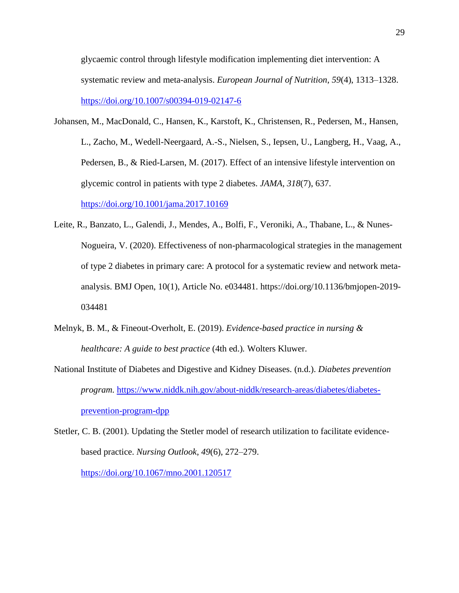glycaemic control through lifestyle modification implementing diet intervention: A systematic review and meta-analysis. *European Journal of Nutrition*, *59*(4), 1313–1328. [https://doi.org/10.1007/s00394-019-02147-6](about:blank)

- Johansen, M., MacDonald, C., Hansen, K., Karstoft, K., Christensen, R., Pedersen, M., Hansen, L., Zacho, M., Wedell-Neergaard, A.-S., Nielsen, S., Iepsen, U., Langberg, H., Vaag, A., Pedersen, B., & Ried-Larsen, M. (2017). Effect of an intensive lifestyle intervention on glycemic control in patients with type 2 diabetes. *JAMA*, *318*(7), 637. [https://doi.org/10.1001/jama.2017.10169](about:blank)
- Leite, R., Banzato, L., Galendi, J., Mendes, A., Bolfi, F., Veroniki, A., Thabane, L., & Nunes-Nogueira, V. (2020). Effectiveness of non-pharmacological strategies in the management of type 2 diabetes in primary care: A protocol for a systematic review and network metaanalysis. BMJ Open, 10(1), Article No. e034481. https://doi.org/10.1136/bmjopen-2019- 034481
- Melnyk, B. M., & Fineout-Overholt, E. (2019). *Evidence-based practice in nursing & healthcare: A guide to best practice* (4th ed.)*.* Wolters Kluwer.
- National Institute of Diabetes and Digestive and Kidney Diseases. (n.d.). *Diabetes prevention program.* [https://www.niddk.nih.gov/about-niddk/research-areas/diabetes/diabetes](about:blank)[prevention-program-dpp](about:blank)
- Stetler, C. B. (2001). Updating the Stetler model of research utilization to facilitate evidencebased practice. *Nursing Outlook*, *49*(6), 272–279. [https://doi.org/10.1067/mno.2001.120517](about:blank)